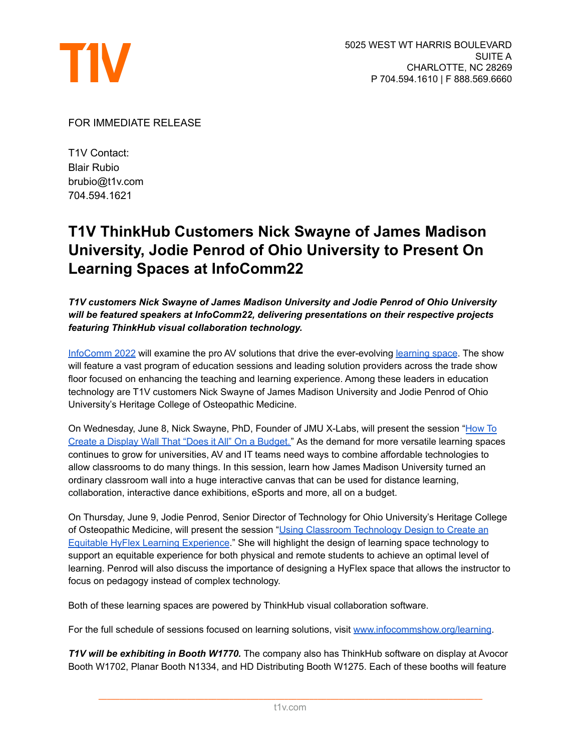

## FOR IMMEDIATE RELEASE

T1V Contact: Blair Rubio brubio@t1v.com 704.594.1621

## **T1V ThinkHub Customers Nick Swayne of James Madison University, Jodie Penrod of Ohio University to Present On Learning Spaces at InfoComm22**

*T1V customers Nick Swayne of James Madison University and Jodie Penrod of Ohio University will be featured speakers at InfoComm22, delivering presentations on their respective projects featuring ThinkHub visual collaboration technology.*

[InfoComm](http://www.infocommshow.org/) 2022 will examine the pro AV solutions that drive the ever-evolving [learning](https://www.infocommshow.org/solution-areas/tech-for-an-ever-changing-learning-environment) space. The show will feature a vast program of education sessions and leading solution providers across the trade show floor focused on enhancing the teaching and learning experience. Among these leaders in education technology are T1V customers Nick Swayne of James Madison University and Jodie Penrod of Ohio University's Heritage College of Osteopathic Medicine.

On Wednesday, June 8, Nick Swayne, PhD, Founder of JMU X-Labs, will present the session "[How](https://www.infocommshow.org/infocomm-2022/how-to-create-a-display-wall-that-does-it-all-on-a-budget) To Create a Display Wall That "Does it All" On a [Budget."](https://www.infocommshow.org/infocomm-2022/how-to-create-a-display-wall-that-does-it-all-on-a-budget) As the demand for more versatile learning spaces continues to grow for universities, AV and IT teams need ways to combine affordable technologies to allow classrooms to do many things. In this session, learn how James Madison University turned an ordinary classroom wall into a huge interactive canvas that can be used for distance learning, collaboration, interactive dance exhibitions, eSports and more, all on a budget.

On Thursday, June 9, Jodie Penrod, Senior Director of Technology for Ohio University's Heritage College of Osteopathic Medicine, will present the session "Using Classroom [Technology](https://www.infocommshow.org/infocomm-2022/using-classroom-technology-design-to-create-an-equitable-hyflex-learning-experience) Design to Create an Equitable HyFlex Learning [Experience](https://www.infocommshow.org/infocomm-2022/using-classroom-technology-design-to-create-an-equitable-hyflex-learning-experience)." She will highlight the design of learning space technology to support an equitable experience for both physical and remote students to achieve an optimal level of learning. Penrod will also discuss the importance of designing a HyFlex space that allows the instructor to focus on pedagogy instead of complex technology.

Both of these learning spaces are powered by ThinkHub visual collaboration software.

For the full schedule of sessions focused on learning solutions, visit [www.infocommshow.org/learning](http://www.infocommshow.org/learning).

*T1V will be exhibiting in Booth W1770.* The company also has ThinkHub software on display at Avocor Booth W1702, Planar Booth N1334, and HD Distributing Booth W1275. Each of these booths will feature